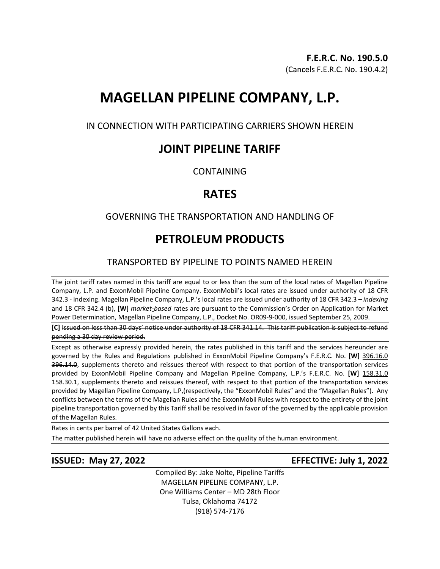# **MAGELLAN PIPELINE COMPANY, L.P.**

IN CONNECTION WITH PARTICIPATING CARRIERS SHOWN HEREIN

# **JOINT PIPELINE TARIFF**

**CONTAINING** 

# **RATES**

## GOVERNING THE TRANSPORTATION AND HANDLING OF

# **PETROLEUM PRODUCTS**

## TRANSPORTED BY PIPELINE TO POINTS NAMED HEREIN

The joint tariff rates named in this tariff are equal to or less than the sum of the local rates of Magellan Pipeline Company, L.P. and ExxonMobil Pipeline Company. ExxonMobil's local rates are issued under authority of 18 CFR 342.3 - indexing. Magellan Pipeline Company, L.P.'s local rates are issued under authority of 18 CFR 342.3 – *indexing* and 18 CFR 342.4 (b), **[W]** *market-based* rates are pursuant to the Commission's Order on Application for Market Power Determination, Magellan Pipeline Company, L.P., Docket No. OR09-9-000, issued September 25, 2009.

**[C]** Issued on less than 30 days' notice under authority of 18 CFR 341.14. This tariff publication is subject to refund pending a 30 day review period.

Except as otherwise expressly provided herein, the rates published in this tariff and the services hereunder are governed by the Rules and Regulations published in ExxonMobil Pipeline Company's F.E.R.C. No. **[W]** 396.16.0 396.14.0, supplements thereto and reissues thereof with respect to that portion of the transportation services provided by ExxonMobil Pipeline Company and Magellan Pipeline Company, L.P.'s F.E.R.C. No. **[W]** 158.31.0 158.30.1, supplements thereto and reissues thereof, with respect to that portion of the transportation services provided by Magellan Pipeline Company, L.P,(respectively, the "ExxonMobil Rules" and the "Magellan Rules"). Any conflicts between the terms of the Magellan Rules and the ExxonMobil Rules with respect to the entirety of the joint pipeline transportation governed by this Tariff shall be resolved in favor of the governed by the applicable provision of the Magellan Rules.

Rates in cents per barrel of 42 United States Gallons each.

The matter published herein will have no adverse effect on the quality of the human environment.

## **ISSUED: May 27, 2022 EFFECTIVE: July 1, 2022**

Compiled By: Jake Nolte, Pipeline Tariffs MAGELLAN PIPELINE COMPANY, L.P. One Williams Center – MD 28th Floor Tulsa, Oklahoma 74172 (918) 574-7176